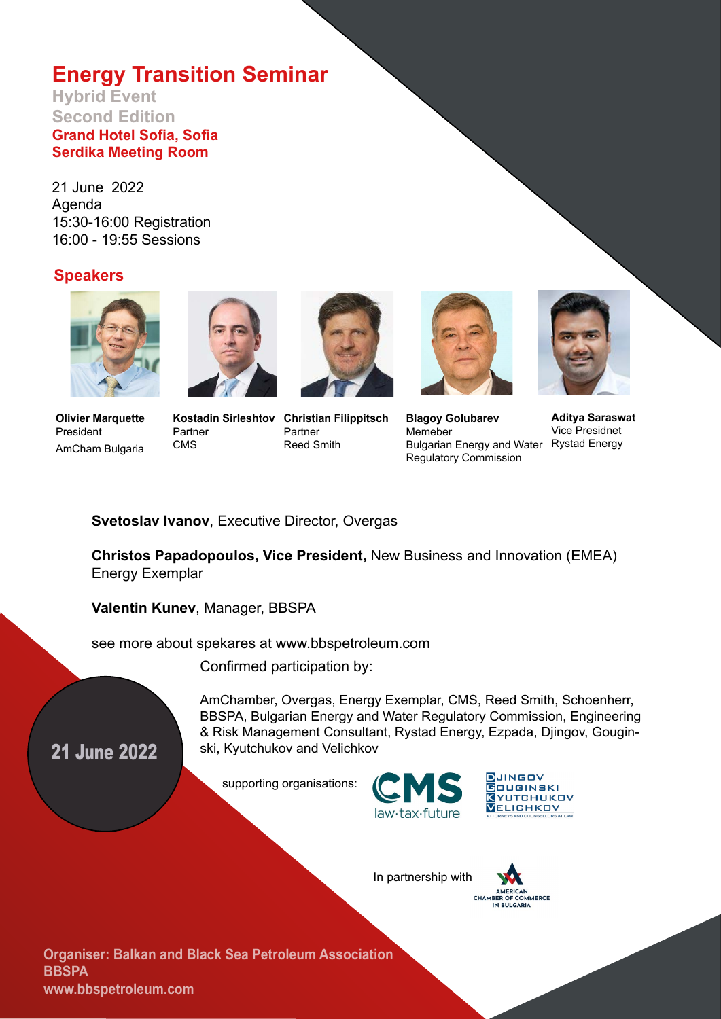# **Energy Transition Seminar**

#### **Hybrid Event Second Edition Grand Hotel Sofia, Sofia Serdika Meeting Room**

21 June 2022 Agenda 15:30-16:00 Registration 16:00 - 19:55 Sessions

#### **Speakers**



**Olivier Marquette** President AmCham Bulgaria



Partner CMS

**Kostadin Sirleshtov Christian Filippitsch** Partner Reed Smith





**Blagoy Golubarev** Memeber Bulgarian Energy and Water Rystad EnergyRegulatory Commission



**Aditya Saraswat** Vice Presidnet

#### **Svetoslav Ivanov**, Executive Director, Overgas

**Christos Papadopoulos, Vice President,** New Business and Innovation (EMEA) Energy Exemplar

**Valentin Kunev**, Manager, BBSPA

see more about spekares at www.bbspetroleum.com

Confirmed participation by:

21 June 2022

AmChamber, Overgas, Energy Exemplar, CMS, Reed Smith, Schoenherr, BBSPA, Bulgarian Energy and Water Regulatory Commission, Engineering & Risk Management Consultant, Rystad Energy, Ezpada, Djingov, Gouginski, Kyutchukov and Velichkov

supporting organisations:





In partnership with



**Organiser: Balkan and Black Sea Petroleum Association BBSPA www.bbspetroleum.com**